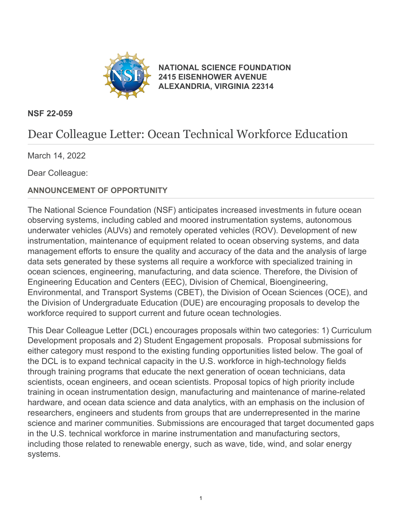

**[NATIONAL SCIENCE FOUNDATION](https://www.nsf.gov/) [2415 EISENHOWER AVENUE](https://www.nsf.gov/) [ALEXANDRIA, VIRGINIA 22314](https://www.nsf.gov/)**

#### **NSF 22-059**

# Dear Colleague Letter: Ocean Technical Workforce Education

March 14, 2022

Dear Colleague:

#### **ANNOUNCEMENT OF OPPORTUNITY**

The National Science Foundation (NSF) anticipates increased investments in future ocean observing systems, including cabled and moored instrumentation systems, autonomous underwater vehicles (AUVs) and remotely operated vehicles (ROV). Development of new instrumentation, maintenance of equipment related to ocean observing systems, and data management efforts to ensure the quality and accuracy of the data and the analysis of large data sets generated by these systems all require a workforce with specialized training in ocean sciences, engineering, manufacturing, and data science. Therefore, the Division of Engineering Education and Centers (EEC), Division of Chemical, Bioengineering, Environmental, and Transport Systems (CBET), the Division of Ocean Sciences (OCE), and the Division of Undergraduate Education (DUE) are encouraging proposals to develop the workforce required to support current and future ocean technologies.

This Dear Colleague Letter (DCL) encourages proposals within two categories: 1) Curriculum Development proposals and 2) Student Engagement proposals. Proposal submissions for either category must respond to the existing funding opportunities listed below. The goal of the DCL is to expand technical capacity in the U.S. workforce in high-technology fields through training programs that educate the next generation of ocean technicians, data scientists, ocean engineers, and ocean scientists. Proposal topics of high priority include training in ocean instrumentation design, manufacturing and maintenance of marine-related hardware, and ocean data science and data analytics, with an emphasis on the inclusion of researchers, engineers and students from groups that are underrepresented in the marine science and mariner communities. Submissions are encouraged that target documented gaps in the U.S. technical workforce in marine instrumentation and manufacturing sectors, including those related to renewable energy, such as wave, tide, wind, and solar energy systems.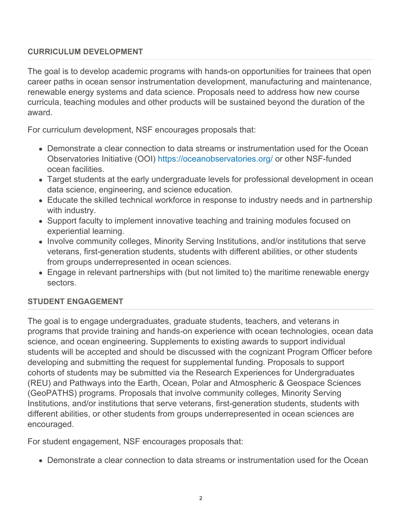#### **CURRICULUM DEVELOPMENT**

The goal is to develop academic programs with hands-on opportunities for trainees that open career paths in ocean sensor instrumentation development, manufacturing and maintenance, renewable energy systems and data science. Proposals need to address how new course curricula, teaching modules and other products will be sustained beyond the duration of the award.

For curriculum development, NSF encourages proposals that:

- Demonstrate a clear connection to data streams or instrumentation used for the Ocean Observatories Initiative (OOI) [https://oceanobservatories.org/](https://www.nsf.gov/cgi-bin/goodbye?https://oceanobservatories.org/) or other NSF-funded ocean facilities.
- Target students at the early undergraduate levels for professional development in ocean data science, engineering, and science education.
- Educate the skilled technical workforce in response to industry needs and in partnership with industry.
- Support faculty to implement innovative teaching and training modules focused on experiential learning.
- Involve community colleges, Minority Serving Institutions, and/or institutions that serve veterans, first-generation students, students with different abilities, or other students from groups underrepresented in ocean sciences.
- Engage in relevant partnerships with (but not limited to) the maritime renewable energy sectors.

#### **STUDENT ENGAGEMENT**

The goal is to engage undergraduates, graduate students, teachers, and veterans in programs that provide training and hands-on experience with ocean technologies, ocean data science, and ocean engineering. Supplements to existing awards to support individual students will be accepted and should be discussed with the cognizant Program Officer before developing and submitting the request for supplemental funding. Proposals to support cohorts of students may be submitted via the Research Experiences for Undergraduates (REU) and Pathways into the Earth, Ocean, Polar and Atmospheric & Geospace Sciences (GeoPATHS) programs. Proposals that involve community colleges, Minority Serving Institutions, and/or institutions that serve veterans, first-generation students, students with different abilities, or other students from groups underrepresented in ocean sciences are encouraged.

For student engagement, NSF encourages proposals that:

Demonstrate a clear connection to data streams or instrumentation used for the Ocean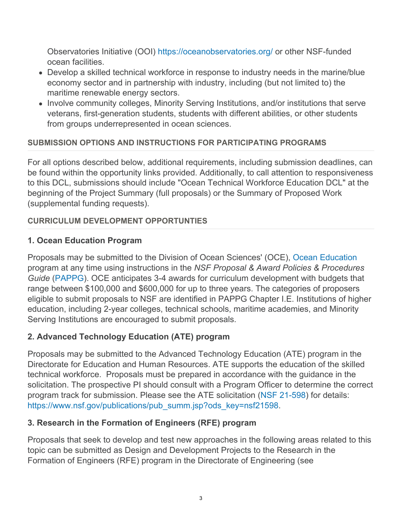Observatories Initiative (OOI) [https://oceanobservatories.org/](https://www.nsf.gov/cgi-bin/goodbye?https://oceanobservatories.org/) or other NSF-funded ocean facilities.

- Develop a skilled technical workforce in response to industry needs in the marine/blue economy sector and in partnership with industry, including (but not limited to) the maritime renewable energy sectors.
- Involve community colleges, Minority Serving Institutions, and/or institutions that serve veterans, first-generation students, students with different abilities, or other students from groups underrepresented in ocean sciences.

#### **SUBMISSION OPTIONS AND INSTRUCTIONS FOR PARTICIPATING PROGRAMS**

For all options described below, additional requirements, including submission deadlines, can be found within the opportunity links provided. Additionally, to call attention to responsiveness to this DCL, submissions should include "Ocean Technical Workforce Education DCL" at the beginning of the Project Summary (full proposals) or the Summary of Proposed Work (supplemental funding requests).

#### **CURRICULUM DEVELOPMENT OPPORTUNTIES**

## **1. Ocean Education Program**

Proposals may be submitted to the Division of Ocean Sciences' (OCE), [Ocean Education](https://beta.nsf.gov/funding/opportunities/oce-education) program at any time using instructions in the *NSF Proposal & Award Policies & Procedures Guide* [\(PAPPG](https://www.nsf.gov/publications/pub_summ.jsp?ods_key=pappg)). OCE anticipates 3-4 awards for curriculum development with budgets that range between \$100,000 and \$600,000 for up to three years. The categories of proposers eligible to submit proposals to NSF are identified in PAPPG Chapter I.E. Institutions of higher education, including 2-year colleges, technical schools, maritime academies, and Minority Serving Institutions are encouraged to submit proposals.

# **2. Advanced Technology Education (ATE) program**

Proposals may be submitted to the Advanced Technology Education (ATE) program in the Directorate for Education and Human Resources. ATE supports the education of the skilled technical workforce. Proposals must be prepared in accordance with the guidance in the solicitation. The prospective PI should consult with a Program Officer to determine the correct program track for submission. Please see the ATE solicitation ([NSF 21-598](https://www.nsf.gov/publications/pub_summ.jsp?ods_key=nsf21598)) for details: [https://www.nsf.gov/publications/pub\\_summ.jsp?ods\\_key=nsf21598](https://www.nsf.gov/publications/pub_summ.jsp?ods_key=nsf21598).

#### **3. Research in the Formation of Engineers (RFE) program**

Proposals that seek to develop and test new approaches in the following areas related to this topic can be submitted as Design and Development Projects to the Research in the Formation of Engineers (RFE) program in the Directorate of Engineering (see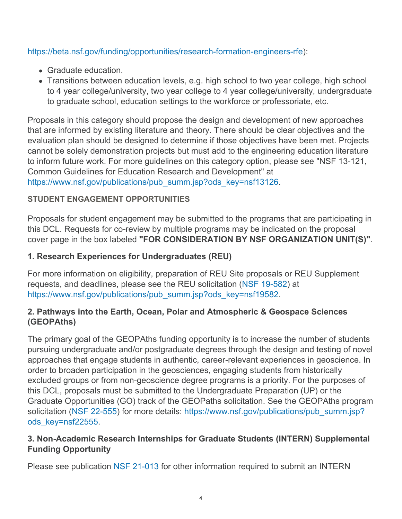#### <https://beta.nsf.gov/funding/opportunities/research-formation-engineers-rfe>):

- Graduate education.
- Transitions between education levels, e.g. high school to two year college, high school to 4 year college/university, two year college to 4 year college/university, undergraduate to graduate school, education settings to the workforce or professoriate, etc.

Proposals in this category should propose the design and development of new approaches that are informed by existing literature and theory. There should be clear objectives and the evaluation plan should be designed to determine if those objectives have been met. Projects cannot be solely demonstration projects but must add to the engineering education literature to inform future work. For more guidelines on this category option, please see "NSF 13-121, Common Guidelines for Education Research and Development" at [https://www.nsf.gov/publications/pub\\_summ.jsp?ods\\_key=nsf13126](https://www.nsf.gov/publications/pub_summ.jsp?ods_key=nsf13126).

#### **STUDENT ENGAGEMENT OPPORTUNITIES**

Proposals for student engagement may be submitted to the programs that are participating in this DCL. Requests for co-review by multiple programs may be indicated on the proposal cover page in the box labeled **"FOR CONSIDERATION BY NSF ORGANIZATION UNIT(S)"**.

#### **1. Research Experiences for Undergraduates (REU)**

For more information on eligibility, preparation of REU Site proposals or REU Supplement requests, and deadlines, please see the REU solicitation [\(NSF 19-582](https://www.nsf.gov/publications/pub_summ.jsp?ods_key=nsf19582)) at [https://www.nsf.gov/publications/pub\\_summ.jsp?ods\\_key=nsf19582](https://www.nsf.gov/publications/pub_summ.jsp?ods_key=nsf19582).

#### **2. Pathways into the Earth, Ocean, Polar and Atmospheric & Geospace Sciences (GEOPAths)**

The primary goal of the GEOPAths funding opportunity is to increase the number of students pursuing undergraduate and/or postgraduate degrees through the design and testing of novel approaches that engage students in authentic, career-relevant experiences in geoscience. In order to broaden participation in the geosciences, engaging students from historically excluded groups or from non-geoscience degree programs is a priority. For the purposes of this DCL, proposals must be submitted to the Undergraduate Preparation (UP) or the Graduate Opportunities (GO) track of the GEOPaths solicitation. See the GEOPAths program solicitation [\(NSF 22-555](https://www.nsf.gov/publications/pub_summ.jsp?ods_key=nsf22555)) for more details: [https://www.nsf.gov/publications/pub\\_summ.jsp?](https://www.nsf.gov/publications/pub_summ.jsp?ods_key=nsf22555) [ods\\_key=nsf22555](https://www.nsf.gov/publications/pub_summ.jsp?ods_key=nsf22555).

#### **3. Non-Academic Research Internships for Graduate Students (INTERN) Supplemental Funding Opportunity**

Please see publication [NSF 21-013](https://www.nsf.gov/publications/pub_summ.jsp?ods_key=nsf21013) for other information required to submit an INTERN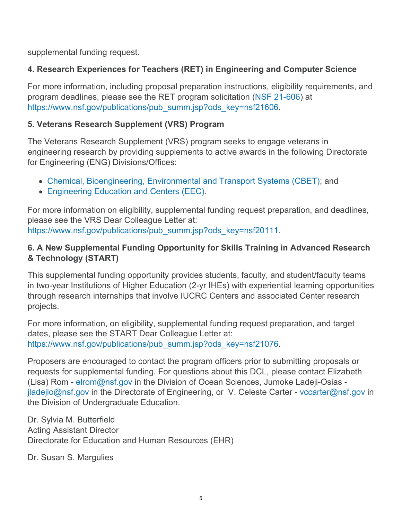supplemental funding request.

# **4. Research Experiences for Teachers (RET) in Engineering and Computer Science**

For more information, including proposal preparation instructions, eligibility requirements, and program deadlines, please see the RET program solicitation ([NSF 21-606](https://www.nsf.gov/publications/pub_summ.jsp?ods_key=nsf21606)) at [https://www.nsf.gov/publications/pub\\_summ.jsp?ods\\_key=nsf21606](https://www.nsf.gov/publications/pub_summ.jsp?ods_key=nsf21606).

### **5. Veterans Research Supplement (VRS) Program**

The Veterans Research Supplement (VRS) program seeks to engage veterans in engineering research by providing supplements to active awards in the following Directorate for Engineering (ENG) Divisions/Offices:

- [Chemical, Bioengineering, Environmental and Transport Systems \(CBET\)](https://www.nsf.gov/funding/programs.jsp?org=CBET); and
- [Engineering Education and Centers \(EEC\)](https://www.nsf.gov/funding/programs.jsp?org=EEC).

For more information on eligibility, supplemental funding request preparation, and deadlines, please see the VRS Dear Colleague Letter at: [https://www.nsf.gov/publications/pub\\_summ.jsp?ods\\_key=nsf20111](https://www.nsf.gov/publications/pub_summ.jsp?ods_key=nsf20111).

## **6. A New Supplemental Funding Opportunity for Skills Training in Advanced Research & Technology (START)**

This supplemental funding opportunity provides students, faculty, and student/faculty teams in two-year Institutions of Higher Education (2-yr IHEs) with experiential learning opportunities through research internships that involve IUCRC Centers and associated Center research projects.

For more information, on eligibility, supplemental funding request preparation, and target dates, please see the START Dear Colleague Letter at: [https://www.nsf.gov/publications/pub\\_summ.jsp?ods\\_key=nsf21076](https://www.nsf.gov/publications/pub_summ.jsp?ods_key=nsf21076).

Proposers are encouraged to contact the program officers prior to submitting proposals or requests for supplemental funding. For questions about this DCL, please contact Elizabeth (Lisa) Rom - [elrom@nsf.gov](mailto:elrom@nsf.gov) in the Division of Ocean Sciences, Jumoke Ladeji-Osias [jladejio@nsf.gov](mailto:jladejio@nsf.gov) in the Directorate of Engineering, or V. Celeste Carter - [vccarter@nsf.gov](mailto:vccarter@nsf.gov) in the Division of Undergraduate Education.

Dr. Sylvia M. Butterfield Acting Assistant Director Directorate for Education and Human Resources (EHR)

Dr. Susan S. Margulies